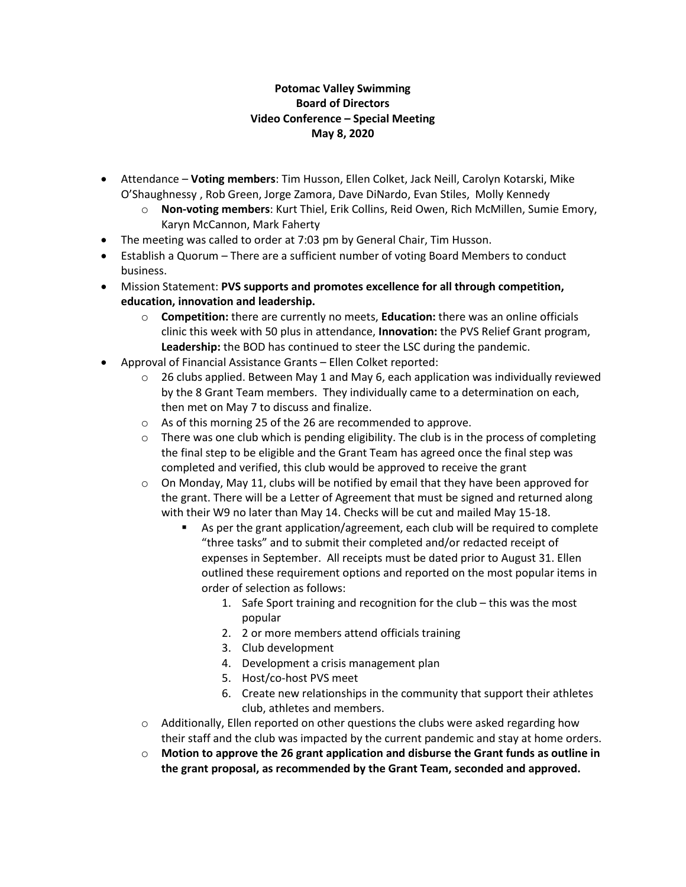## **Potomac Valley Swimming Board of Directors Video Conference – Special Meeting May 8, 2020**

- Attendance **Voting members**: Tim Husson, Ellen Colket, Jack Neill, Carolyn Kotarski, Mike O'Shaughnessy , Rob Green, Jorge Zamora, Dave DiNardo, Evan Stiles, Molly Kennedy
	- o **Non-voting members**: Kurt Thiel, Erik Collins, Reid Owen, Rich McMillen, Sumie Emory, Karyn McCannon, Mark Faherty
- The meeting was called to order at 7:03 pm by General Chair, Tim Husson.
- Establish a Quorum There are a sufficient number of voting Board Members to conduct business.
- Mission Statement: **PVS supports and promotes excellence for all through competition, education, innovation and leadership.**
	- o **Competition:** there are currently no meets, **Education:** there was an online officials clinic this week with 50 plus in attendance, **Innovation:** the PVS Relief Grant program, **Leadership:** the BOD has continued to steer the LSC during the pandemic.
- Approval of Financial Assistance Grants Ellen Colket reported:
	- $\circ$  26 clubs applied. Between May 1 and May 6, each application was individually reviewed by the 8 Grant Team members. They individually came to a determination on each, then met on May 7 to discuss and finalize.
	- o As of this morning 25 of the 26 are recommended to approve.
	- $\circ$  There was one club which is pending eligibility. The club is in the process of completing the final step to be eligible and the Grant Team has agreed once the final step was completed and verified, this club would be approved to receive the grant
	- $\circ$  On Monday, May 11, clubs will be notified by email that they have been approved for the grant. There will be a Letter of Agreement that must be signed and returned along with their W9 no later than May 14. Checks will be cut and mailed May 15-18.
		- As per the grant application/agreement, each club will be required to complete "three tasks" and to submit their completed and/or redacted receipt of expenses in September. All receipts must be dated prior to August 31. Ellen outlined these requirement options and reported on the most popular items in order of selection as follows:
			- 1. Safe Sport training and recognition for the club this was the most popular
			- 2. 2 or more members attend officials training
			- 3. Club development
			- 4. Development a crisis management plan
			- 5. Host/co-host PVS meet
			- 6. Create new relationships in the community that support their athletes club, athletes and members.
	- $\circ$  Additionally, Ellen reported on other questions the clubs were asked regarding how their staff and the club was impacted by the current pandemic and stay at home orders.
	- o **Motion to approve the 26 grant application and disburse the Grant funds as outline in the grant proposal, as recommended by the Grant Team, seconded and approved.**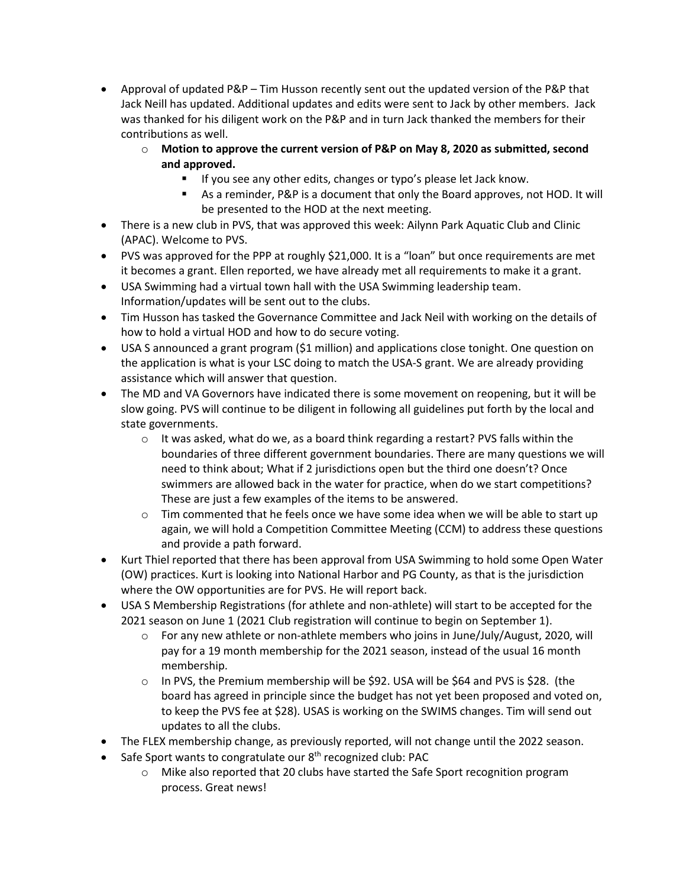- Approval of updated P&P Tim Husson recently sent out the updated version of the P&P that Jack Neill has updated. Additional updates and edits were sent to Jack by other members. Jack was thanked for his diligent work on the P&P and in turn Jack thanked the members for their contributions as well.
	- o **Motion to approve the current version of P&P on May 8, 2020 as submitted, second and approved.** 
		- If you see any other edits, changes or typo's please let Jack know.
			- As a reminder, P&P is a document that only the Board approves, not HOD. It will be presented to the HOD at the next meeting.
- There is a new club in PVS, that was approved this week: Ailynn Park Aquatic Club and Clinic (APAC). Welcome to PVS.
- PVS was approved for the PPP at roughly \$21,000. It is a "loan" but once requirements are met it becomes a grant. Ellen reported, we have already met all requirements to make it a grant.
- USA Swimming had a virtual town hall with the USA Swimming leadership team. Information/updates will be sent out to the clubs.
- Tim Husson has tasked the Governance Committee and Jack Neil with working on the details of how to hold a virtual HOD and how to do secure voting.
- USA S announced a grant program (\$1 million) and applications close tonight. One question on the application is what is your LSC doing to match the USA-S grant. We are already providing assistance which will answer that question.
- The MD and VA Governors have indicated there is some movement on reopening, but it will be slow going. PVS will continue to be diligent in following all guidelines put forth by the local and state governments.
	- $\circ$  It was asked, what do we, as a board think regarding a restart? PVS falls within the boundaries of three different government boundaries. There are many questions we will need to think about; What if 2 jurisdictions open but the third one doesn't? Once swimmers are allowed back in the water for practice, when do we start competitions? These are just a few examples of the items to be answered.
	- $\circ$  Tim commented that he feels once we have some idea when we will be able to start up again, we will hold a Competition Committee Meeting (CCM) to address these questions and provide a path forward.
- Kurt Thiel reported that there has been approval from USA Swimming to hold some Open Water (OW) practices. Kurt is looking into National Harbor and PG County, as that is the jurisdiction where the OW opportunities are for PVS. He will report back.
- USA S Membership Registrations (for athlete and non-athlete) will start to be accepted for the 2021 season on June 1 (2021 Club registration will continue to begin on September 1).
	- $\circ$  For any new athlete or non-athlete members who joins in June/July/August, 2020, will pay for a 19 month membership for the 2021 season, instead of the usual 16 month membership.
	- $\circ$  In PVS, the Premium membership will be \$92. USA will be \$64 and PVS is \$28. (the board has agreed in principle since the budget has not yet been proposed and voted on, to keep the PVS fee at \$28). USAS is working on the SWIMS changes. Tim will send out updates to all the clubs.
- The FLEX membership change, as previously reported, will not change until the 2022 season.
- Safe Sport wants to congratulate our 8<sup>th</sup> recognized club: PAC
	- $\circ$  Mike also reported that 20 clubs have started the Safe Sport recognition program process. Great news!